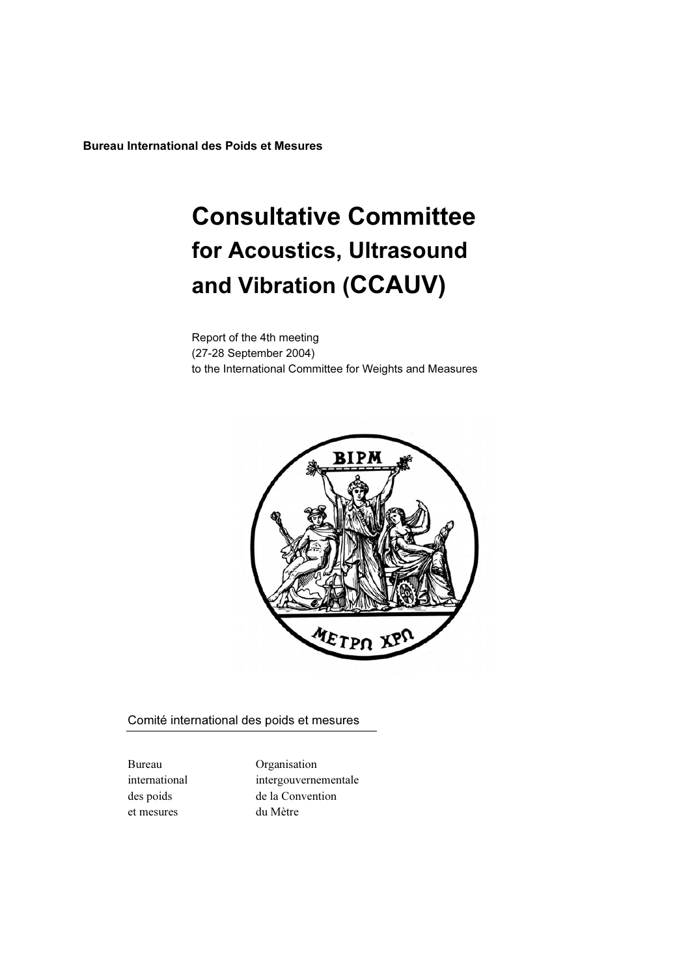Bureau International des Poids et Mesures

# Consultative Committee for Acoustics, Ultrasound and Vibration (CCAUV)

Report of the 4th meeting (27-28 September 2004) to the International Committee for Weights and Measures



Comité international des poids et mesures

et mesures du Mètre

Bureau Organisation international intergouvernementale des poids de la Convention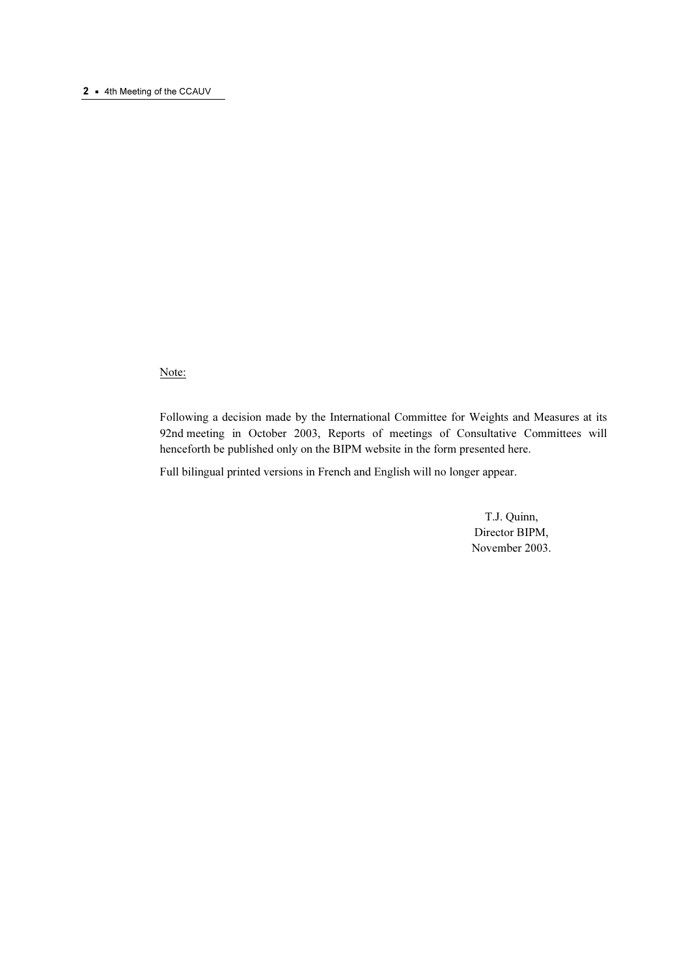#### 2 • 4th Meeting of the CCAUV

# Note:

Following a decision made by the International Committee for Weights and Measures at its 92nd meeting in October 2003, Reports of meetings of Consultative Committees will henceforth be published only on the BIPM website in the form presented here.

Full bilingual printed versions in French and English will no longer appear.

 T.J. Quinn, Director BIPM, November 2003.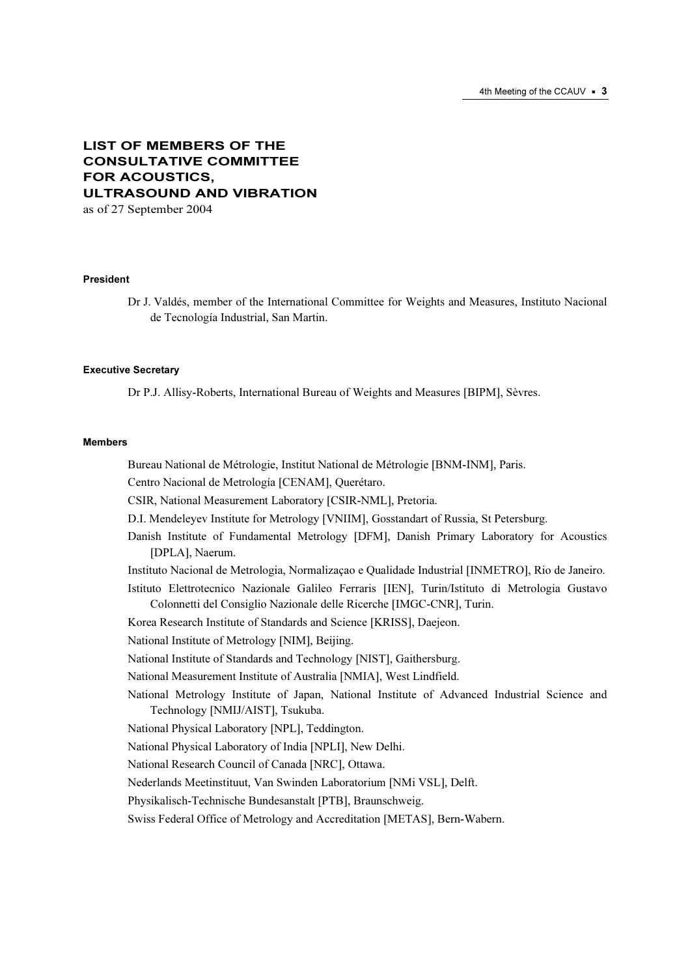# LIST OF MEMBERS OF THE CONSULTATIVE COMMITTEE FOR ACOUSTICS, ULTRASOUND AND VIBRATION

as of 27 September 2004

#### President

Dr J. Valdés, member of the International Committee for Weights and Measures, Instituto Nacional de Tecnología Industrial, San Martin.

#### Executive Secretary

Dr P.J. Allisy-Roberts, International Bureau of Weights and Measures [BIPM], Sèvres.

#### **Mombore**

Bureau National de Métrologie, Institut National de Métrologie [BNM-INM], Paris.

Centro Nacional de Metrología [CENAM], Querétaro.

CSIR, National Measurement Laboratory [CSIR-NML], Pretoria.

D.I. Mendeleyev Institute for Metrology [VNIIM], Gosstandart of Russia, St Petersburg.

Danish Institute of Fundamental Metrology [DFM], Danish Primary Laboratory for Acoustics [DPLA], Naerum.

Instituto Nacional de Metrologia, Normalizaçao e Qualidade Industrial [INMETRO], Rio de Janeiro.

Istituto Elettrotecnico Nazionale Galileo Ferraris [IEN], Turin/Istituto di Metrologia Gustavo Colonnetti del Consiglio Nazionale delle Ricerche [IMGC-CNR], Turin.

Korea Research Institute of Standards and Science [KRISS], Daejeon.

National Institute of Metrology [NIM], Beijing.

National Institute of Standards and Technology [NIST], Gaithersburg.

National Measurement Institute of Australia [NMIA], West Lindfield.

National Metrology Institute of Japan, National Institute of Advanced Industrial Science and Technology [NMIJ/AIST], Tsukuba.

National Physical Laboratory [NPL], Teddington.

National Physical Laboratory of India [NPLI], New Delhi.

National Research Council of Canada [NRC], Ottawa.

Nederlands Meetinstituut, Van Swinden Laboratorium [NMi VSL], Delft.

Physikalisch-Technische Bundesanstalt [PTB], Braunschweig.

Swiss Federal Office of Metrology and Accreditation [METAS], Bern-Wabern.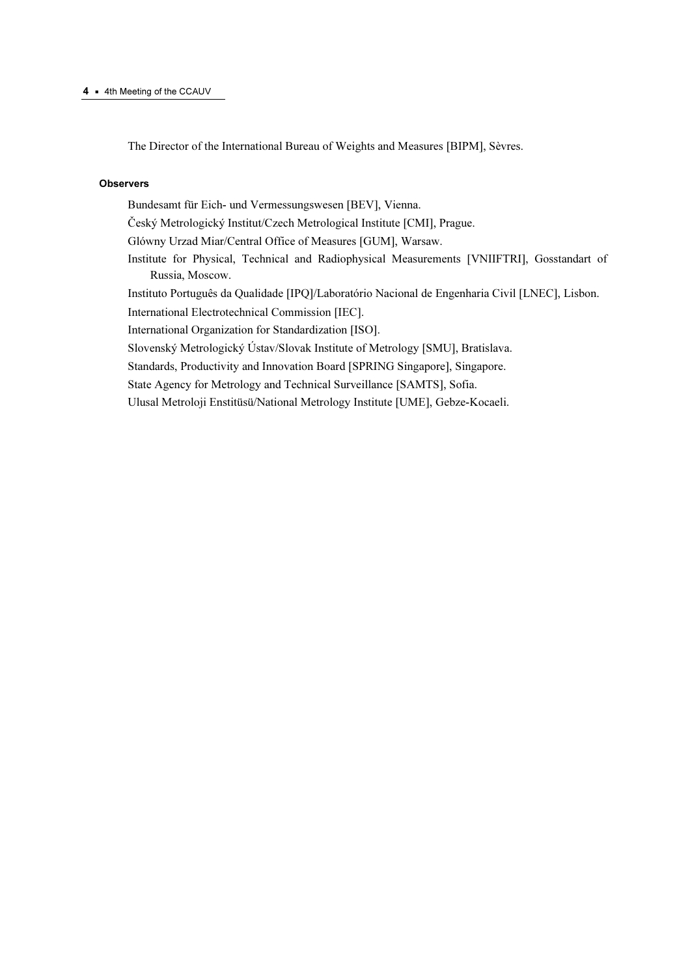The Director of the International Bureau of Weights and Measures [BIPM], Sèvres.

#### **Observers**

Bundesamt für Eich- und Vermessungswesen [BEV], Vienna. Český Metrologický Institut/Czech Metrological Institute [CMI], Prague. Glówny Urzad Miar/Central Office of Measures [GUM], Warsaw. Institute for Physical, Technical and Radiophysical Measurements [VNIIFTRI], Gosstandart of Russia, Moscow. Instituto Português da Qualidade [IPQ]/Laboratório Nacional de Engenharia Civil [LNEC], Lisbon. International Electrotechnical Commission [IEC]. International Organization for Standardization [ISO]. Slovenský Metrologický Ústav/Slovak Institute of Metrology [SMU], Bratislava. Standards, Productivity and Innovation Board [SPRING Singapore], Singapore. State Agency for Metrology and Technical Surveillance [SAMTS], Sofia. Ulusal Metroloji Enstitüsü/National Metrology Institute [UME], Gebze-Kocaeli.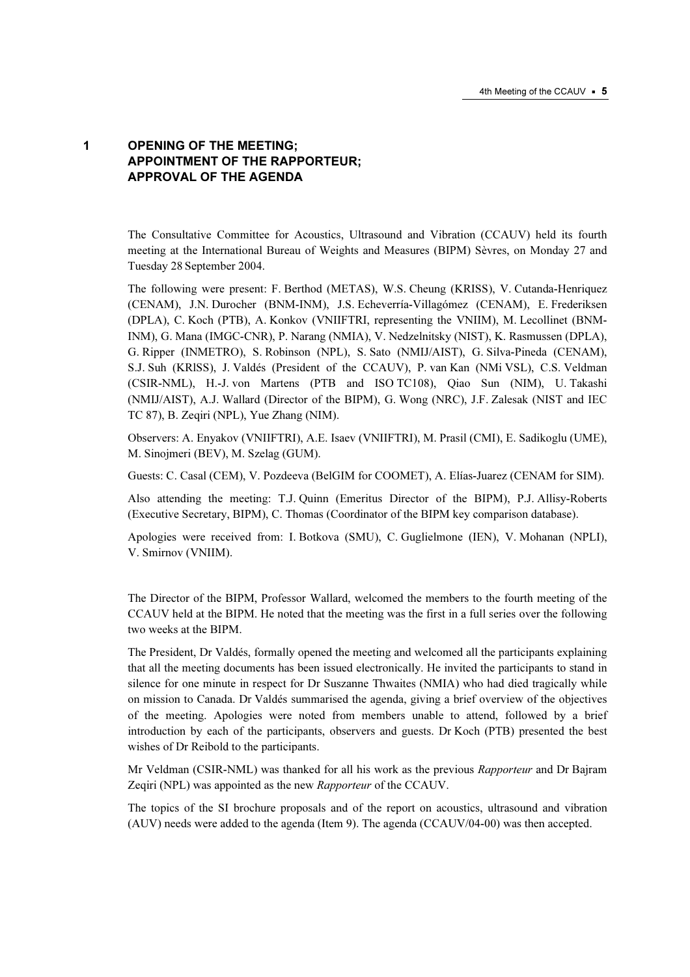# 1 OPENING OF THE MEETING; APPOINTMENT OF THE RAPPORTEUR; APPROVAL OF THE AGENDA

The Consultative Committee for Acoustics, Ultrasound and Vibration (CCAUV) held its fourth meeting at the International Bureau of Weights and Measures (BIPM) Sèvres, on Monday 27 and Tuesday 28 September 2004.

The following were present: F. Berthod (METAS), W.S. Cheung (KRISS), V. Cutanda-Henriquez (CENAM), J.N. Durocher (BNM-INM), J.S. Echeverría-Villagómez (CENAM), E. Frederiksen (DPLA), C. Koch (PTB), A. Konkov (VNIIFTRI, representing the VNIIM), M. Lecollinet (BNM-INM), G. Mana (IMGC-CNR), P. Narang (NMIA), V. Nedzelnitsky (NIST), K. Rasmussen (DPLA), G. Ripper (INMETRO), S. Robinson (NPL), S. Sato (NMIJ/AIST), G. Silva-Pineda (CENAM), S.J. Suh (KRlSS), J. Valdés (President of the CCAUV), P. van Kan (NMi VSL), C.S. Veldman (CSIR-NML), H.-J. von Martens (PTB and ISO TC108), Qiao Sun (NIM), U. Takashi (NMIJ/AIST), A.J. Wallard (Director of the BIPM), G. Wong (NRC), J.F. Zalesak (NIST and IEC TC 87), B. Zeqiri (NPL), Yue Zhang (NIM).

Observers: A. Enyakov (VNIIFTRI), A.E. Isaev (VNIIFTRI), M. Prasil (CMI), E. Sadikoglu (UME), M. Sinojmeri (BEV), M. Szelag (GUM).

Guests: C. Casal (CEM), V. Pozdeeva (BelGIM for COOMET), A. Elías-Juarez (CENAM for SIM).

Also attending the meeting: T.J. Quinn (Emeritus Director of the BIPM), P.J. Allisy-Roberts (Executive Secretary, BIPM), C. Thomas (Coordinator of the BIPM key comparison database).

Apologies were received from: I. Botkova (SMU), C. Guglielmone (IEN), V. Mohanan (NPLI), V. Smirnov (VNIIM).

The Director of the BIPM, Professor Wallard, welcomed the members to the fourth meeting of the CCAUV held at the BIPM. He noted that the meeting was the first in a full series over the following two weeks at the BIPM.

The President, Dr Valdés, formally opened the meeting and welcomed all the participants explaining that all the meeting documents has been issued electronically. He invited the participants to stand in silence for one minute in respect for Dr Suszanne Thwaites (NMIA) who had died tragically while on mission to Canada. Dr Valdés summarised the agenda, giving a brief overview of the objectives of the meeting. Apologies were noted from members unable to attend, followed by a brief introduction by each of the participants, observers and guests. Dr Koch (PTB) presented the best wishes of Dr Reibold to the participants.

Mr Veldman (CSIR-NML) was thanked for all his work as the previous Rapporteur and Dr Bajram Zeqiri (NPL) was appointed as the new Rapporteur of the CCAUV.

The topics of the SI brochure proposals and of the report on acoustics, ultrasound and vibration (AUV) needs were added to the agenda (Item 9). The agenda (CCAUV/04-00) was then accepted.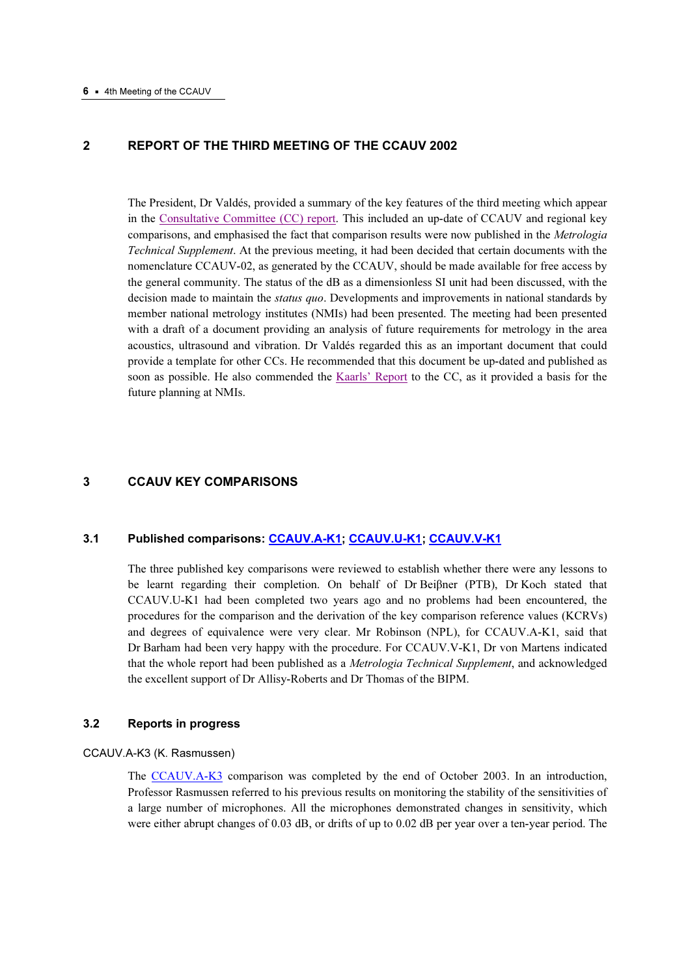# 2 REPORT OF THE THIRD MEETING OF THE CCAUV 2002

The President, Dr Valdés, provided a summary of the key features of the third meeting which appear in th[e Consultative Committee \(CC\) report. Th](https://www.bipm.org/utils/common/pdf/CCAUV3.pdf)is included an up-date of CCAUV and regional key comparisons, and emphasised the fact that comparison results were now published in the Metrologia Technical Supplement. At the previous meeting, it had been decided that certain documents with the nomenclature CCAUV-02, as generated by the CCAUV, should be made available for free access by the general community. The status of the dB as a dimensionless SI unit had been discussed, with the decision made to maintain the *status quo*. Developments and improvements in national standards by member national metrology institutes (NMIs) had been presented. The meeting had been presented with a draft of a document providing an analysis of future requirements for metrology in the area acoustics, ultrasound and vibration. Dr Valdés regarded this as an important document that could provide a template for other CCs. He recommended that this document be up-dated and published as soon as possible. He also commended th[e Kaarls' Report to t](https://www1.bipm.org/en/convention/cgpm/)he CC, as it provided a basis for the future planning at NMIs.

# 3 CCAUV KEY COMPARISONS

# 3.1 Published comparisons[: CCAUV.A-K1;](http://kcdb.bipm.org/AppendixB/KCDB_ApB_search_result.asp?search=2&cmp_cod_search=CCAUV.A-K1&match_exact=0) [CCAUV.U-K1;](http://kcdb.bipm.org/AppendixB/KCDB_ApB_search_result.asp?search=2&cmp_cod_search=CCAUV.U-K1&match_exact=0) [CCAUV.V-K1](http://kcdb.bipm.org/AppendixB/KCDB_ApB_search_result.asp?search=2&cmp_cod_search=CCAUV.V-K1&match_exact=0)

The three published key comparisons were reviewed to establish whether there were any lessons to be learnt regarding their completion. On behalf of Dr Beiβner (PTB), Dr Koch stated that CCAUV.U-K1 had been completed two years ago and no problems had been encountered, the procedures for the comparison and the derivation of the key comparison reference values (KCRVs) and degrees of equivalence were very clear. Mr Robinson (NPL), for CCAUV.A-K1, said that Dr Barham had been very happy with the procedure. For CCAUV.V-K1, Dr von Martens indicated that the whole report had been published as a Metrologia Technical Supplement, and acknowledged the excellent support of Dr Allisy-Roberts and Dr Thomas of the BIPM.

#### 3.2 Reports in progress

#### CCAUV.A-K3 (K. Rasmussen)

Th[e CCAUV.A-K3 co](http://kcdb.bipm.org/AppendixB/KCDB_ApB_search_result.asp?search=2&cmp_cod_search=CCAUV.A-K3&match_exact=0)mparison was completed by the end of October 2003. In an introduction, Professor Rasmussen referred to his previous results on monitoring the stability of the sensitivities of a large number of microphones. All the microphones demonstrated changes in sensitivity, which were either abrupt changes of 0.03 dB, or drifts of up to 0.02 dB per year over a ten-year period. The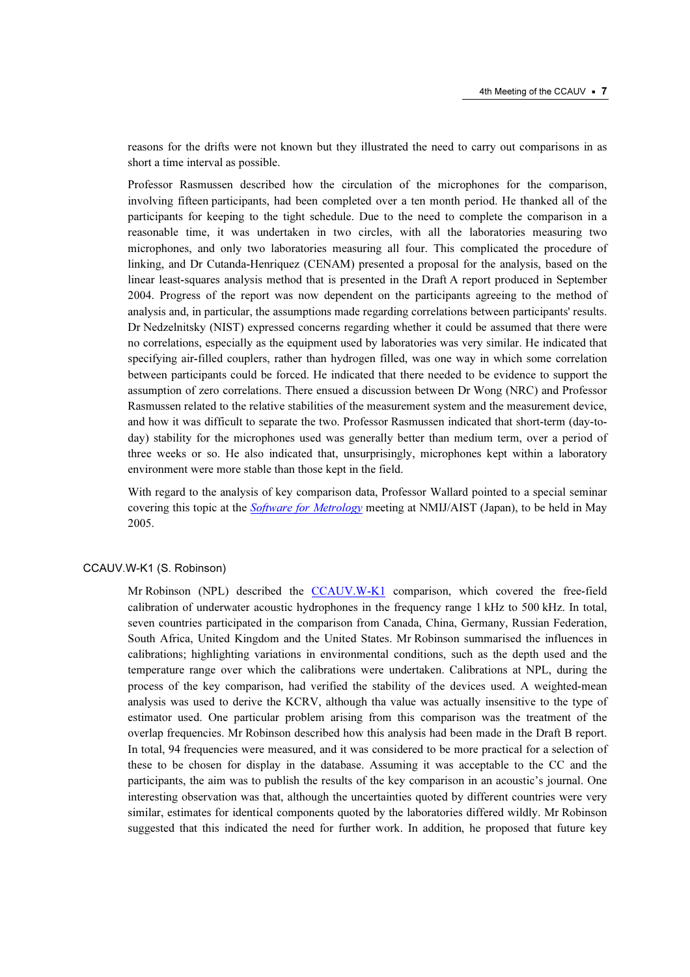reasons for the drifts were not known but they illustrated the need to carry out comparisons in as short a time interval as possible.

Professor Rasmussen described how the circulation of the microphones for the comparison, involving fifteen participants, had been completed over a ten month period. He thanked all of the participants for keeping to the tight schedule. Due to the need to complete the comparison in a reasonable time, it was undertaken in two circles, with all the laboratories measuring two microphones, and only two laboratories measuring all four. This complicated the procedure of linking, and Dr Cutanda-Henriquez (CENAM) presented a proposal for the analysis, based on the linear least-squares analysis method that is presented in the Draft A report produced in September 2004. Progress of the report was now dependent on the participants agreeing to the method of analysis and, in particular, the assumptions made regarding correlations between participants' results. Dr Nedzelnitsky (NIST) expressed concerns regarding whether it could be assumed that there were no correlations, especially as the equipment used by laboratories was very similar. He indicated that specifying air-filled couplers, rather than hydrogen filled, was one way in which some correlation between participants could be forced. He indicated that there needed to be evidence to support the assumption of zero correlations. There ensued a discussion between Dr Wong (NRC) and Professor Rasmussen related to the relative stabilities of the measurement system and the measurement device, and how it was difficult to separate the two. Professor Rasmussen indicated that short-term (day-today) stability for the microphones used was generally better than medium term, over a period of three weeks or so. He also indicated that, unsurprisingly, microphones kept within a laboratory environment were more stable than those kept in the field.

With regard to the analysis of key comparison data, Professor Wallard pointed to a special seminar covering this topic at the *[Software for Metrology](http://141.63.4.16/ev/FirstAnnouncement_NMIJ_2005.pdf)* meeting at NMIJ/AIST (Japan), to be held in May 2005.

#### CCAUV.W-K1 (S. Robinson)

Mr Robinson (NPL) described th[e CCAUV.W-K1 com](http://kcdb.bipm.org/AppendixB/KCDB_ApB_search_result.asp?search=2&cmp_cod_search=CCAUV.W-K1&match_exact=0)parison, which covered the free-field calibration of underwater acoustic hydrophones in the frequency range 1 kHz to 500 kHz. In total, seven countries participated in the comparison from Canada, China, Germany, Russian Federation, South Africa, United Kingdom and the United States. Mr Robinson summarised the influences in calibrations; highlighting variations in environmental conditions, such as the depth used and the temperature range over which the calibrations were undertaken. Calibrations at NPL, during the process of the key comparison, had verified the stability of the devices used. A weighted-mean analysis was used to derive the KCRV, although tha value was actually insensitive to the type of estimator used. One particular problem arising from this comparison was the treatment of the overlap frequencies. Mr Robinson described how this analysis had been made in the Draft B report. In total, 94 frequencies were measured, and it was considered to be more practical for a selection of these to be chosen for display in the database. Assuming it was acceptable to the CC and the participants, the aim was to publish the results of the key comparison in an acoustic's journal. One interesting observation was that, although the uncertainties quoted by different countries were very similar, estimates for identical components quoted by the laboratories differed wildly. Mr Robinson suggested that this indicated the need for further work. In addition, he proposed that future key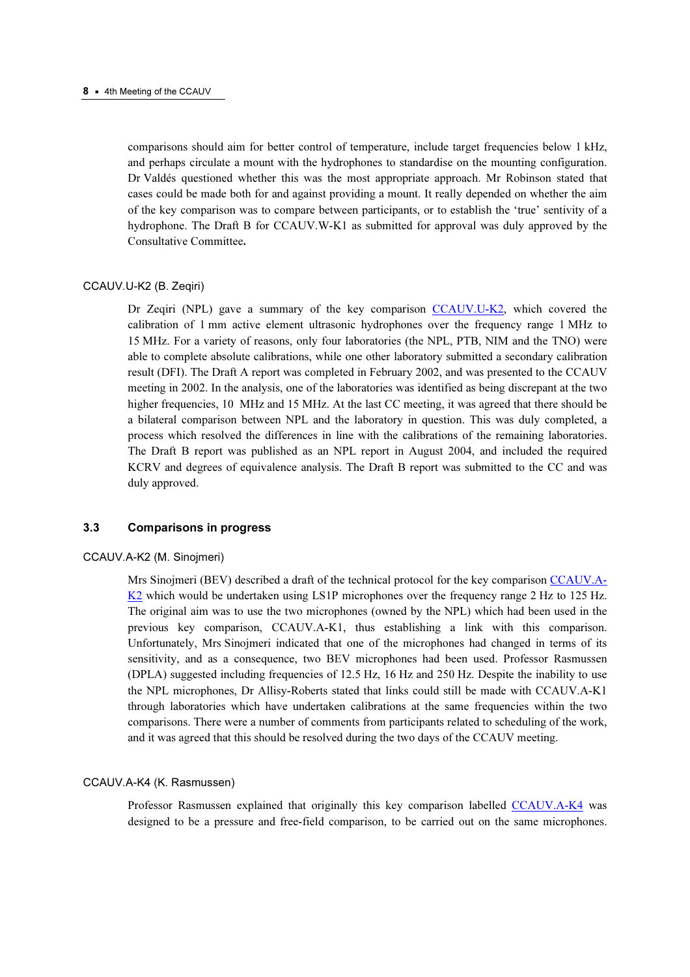comparisons should aim for better control of temperature, include target frequencies below 1 kHz, and perhaps circulate a mount with the hydrophones to standardise on the mounting configuration. Dr Valdés questioned whether this was the most appropriate approach. Mr Robinson stated that cases could be made both for and against providing a mount. It really depended on whether the aim of the key comparison was to compare between participants, or to establish the 'true' sentivity of a hydrophone. The Draft B for CCAUV.W-K1 as submitted for approval was duly approved by the Consultative Committee*.*

### CCAUV.U-K2 (B. Zeqiri)

Dr Zeqiri (NPL) gave a summary of the key compariso[n CCAUV.U-K2, which](http://kcdb.bipm.org/AppendixB/KCDB_ApB_search_result.asp?search=2&cmp_cod_search=CCAUV.U-K2&match_exact=0) covered the calibration of 1 mm active element ultrasonic hydrophones over the frequency range 1 MHz to 15 MHz. For a variety of reasons, only four laboratories (the NPL, PTB, NIM and the TNO) were able to complete absolute calibrations, while one other laboratory submitted a secondary calibration result (DFI). The Draft A report was completed in February 2002, and was presented to the CCAUV meeting in 2002. In the analysis, one of the laboratories was identified as being discrepant at the two higher frequencies, 10 MHz and 15 MHz. At the last CC meeting, it was agreed that there should be a bilateral comparison between NPL and the laboratory in question. This was duly completed, a process which resolved the differences in line with the calibrations of the remaining laboratories. The Draft B report was published as an NPL report in August 2004, and included the required KCRV and degrees of equivalence analysis. The Draft B report was submitted to the CC and was duly approved.

# 3.3 Comparisons in progress

#### CCAUV.A-K2 (M. Sinojmeri)

Mrs Sinojmeri (BEV) described a draft of the technical protocol for the key compariso[n CCAUV.A-](http://kcdb.bipm.org/AppendixB/KCDB_ApB_search_result.asp?search=2&cmp_cod_search=CCAUV.A-K2&match_exact=0)K<sub>2</sub> which would be undertaken using LS1P microphones over the frequency range 2 Hz to 125 Hz. The original aim was to use the two microphones (owned by the NPL) which had been used in the previous key comparison, CCAUV.A-K1, thus establishing a link with this comparison. Unfortunately, Mrs Sinojmeri indicated that one of the microphones had changed in terms of its sensitivity, and as a consequence, two BEV microphones had been used. Professor Rasmussen (DPLA) suggested including frequencies of 12.5 Hz, 16 Hz and 250 Hz. Despite the inability to use the NPL microphones, Dr Allisy-Roberts stated that links could still be made with CCAUV.A-K1 through laboratories which have undertaken calibrations at the same frequencies within the two comparisons. There were a number of comments from participants related to scheduling of the work, and it was agreed that this should be resolved during the two days of the CCAUV meeting.

#### CCAUV.A-K4 (K. Rasmussen)

Professor Rasmussen explained that originally this key comparison labelle[d CCAUV.A-K4 was](http://kcdb.bipm.org/AppendixB/KCDB_ApB_search_result.asp?search=2&cmp_cod_search=CCAUV.A-K4&match_exact=0)  designed to be a pressure and free-field comparison, to be carried out on the same microphones.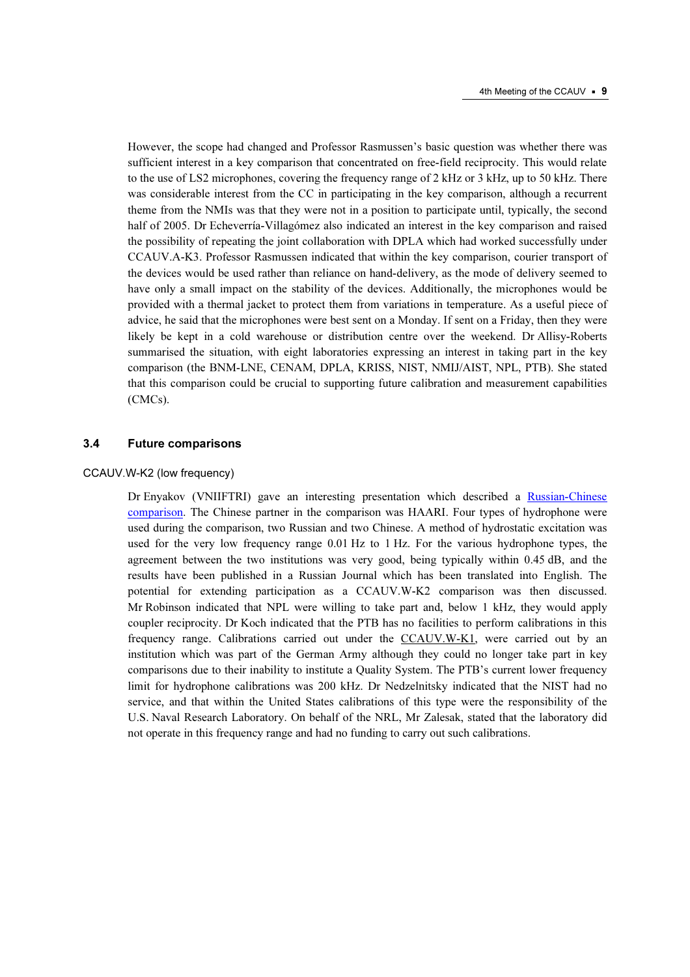However, the scope had changed and Professor Rasmussen's basic question was whether there was sufficient interest in a key comparison that concentrated on free-field reciprocity. This would relate to the use of LS2 microphones, covering the frequency range of 2 kHz or 3 kHz, up to 50 kHz. There was considerable interest from the CC in participating in the key comparison, although a recurrent theme from the NMIs was that they were not in a position to participate until, typically, the second half of 2005. Dr Echeverría-Villagómez also indicated an interest in the key comparison and raised the possibility of repeating the joint collaboration with DPLA which had worked successfully under CCAUV.A-K3. Professor Rasmussen indicated that within the key comparison, courier transport of the devices would be used rather than reliance on hand-delivery, as the mode of delivery seemed to have only a small impact on the stability of the devices. Additionally, the microphones would be provided with a thermal jacket to protect them from variations in temperature. As a useful piece of advice, he said that the microphones were best sent on a Monday. If sent on a Friday, then they were likely be kept in a cold warehouse or distribution centre over the weekend. Dr Allisy-Roberts summarised the situation, with eight laboratories expressing an interest in taking part in the key comparison (the BNM-LNE, CENAM, DPLA, KRISS, NIST, NMIJ/AIST, NPL, PTB). She stated that this comparison could be crucial to supporting future calibration and measurement capabilities (CMCs).

#### 3.4 Future comparisons

#### [CCAUV.W-K2 \(low frequency\)](http://kcdb.bipm.org/AppendixB/KCDB_ApB_search_result.asp?search=2&cmp_cod_search=CCAUV.W-K2&match_exact=0)

Dr Enyakov (VNIIFTRI) gave an interesting presentation which described a [Russian-Chinese](https://www.bipm.org/cc/CCAUV/Allowed/4/CCAUV04-14.pdf)  [comparison. Th](https://www.bipm.org/cc/CCAUV/Allowed/4/CCAUV04-14.pdf)e Chinese partner in the comparison was HAARI. Four types of hydrophone were used during the comparison, two Russian and two Chinese. A method of hydrostatic excitation was used for the very low frequency range 0.01 Hz to 1 Hz. For the various hydrophone types, the agreement between the two institutions was very good, being typically within 0.45 dB, and the results have been published in a Russian Journal which has been translated into English. The potential for extending participation as a CCAUV.W-K2 comparison was then discussed. Mr Robinson indicated that NPL were willing to take part and, below 1 kHz, they would apply coupler reciprocity. Dr Koch indicated that the PTB has no facilities to perform calibrations in this frequency range. Calibrations carried out under t[he CCAUV.W-K1, we](http://kcdb.bipm.org/AppendixB/KCDB_ApB_search_result.asp?search=2&cmp_cod_search=CCAUV.W-K1&match_exact=0)re carried out by an institution which was part of the German Army although they could no longer take part in key comparisons due to their inability to institute a Quality System. The PTB's current lower frequency limit for hydrophone calibrations was 200 kHz. Dr Nedzelnitsky indicated that the NIST had no service, and that within the United States calibrations of this type were the responsibility of the U.S. Naval Research Laboratory. On behalf of the NRL, Mr Zalesak, stated that the laboratory did not operate in this frequency range and had no funding to carry out such calibrations.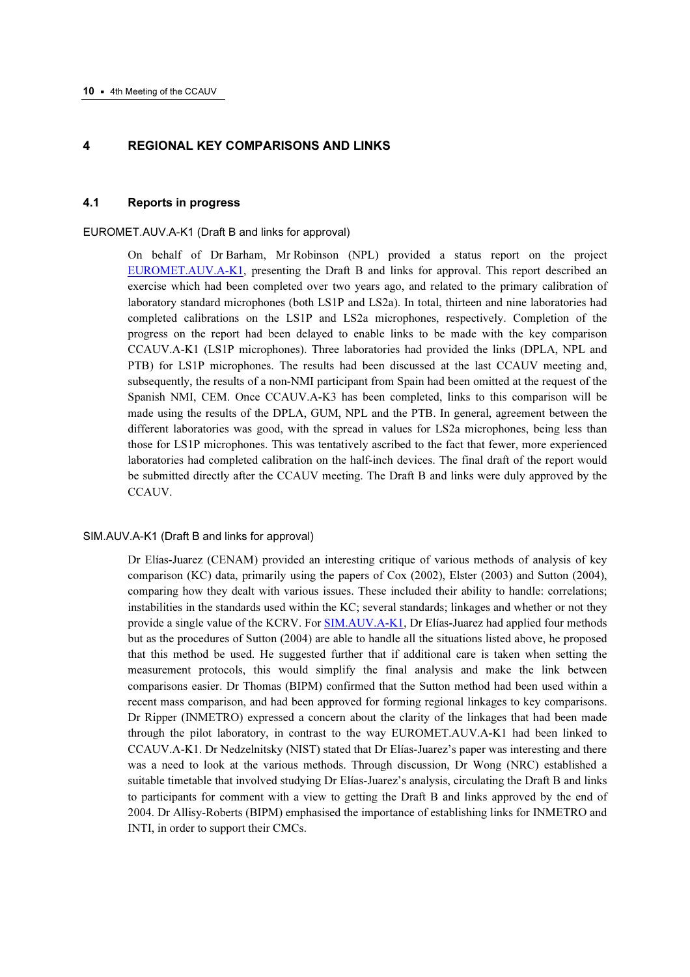# 4 REGIONAL KEY COMPARISONS AND LINKS

#### 4.1 Reports in progress

#### EUROMET.AUV.A-K1 (Draft B and links for approval)

On behalf of Dr Barham, Mr Robinson (NPL) provided a status report on the project [EUROMET.AUV.A-K1, prese](http://kcdb.bipm.org/AppendixB/KCDB_ApB_search_result.asp?search=2&cmp_cod_search=EUROMET.AUV.A-K1&match_exact=0)nting the Draft B and links for approval. This report described an exercise which had been completed over two years ago, and related to the primary calibration of laboratory standard microphones (both LS1P and LS2a). In total, thirteen and nine laboratories had completed calibrations on the LS1P and LS2a microphones, respectively. Completion of the progress on the report had been delayed to enable links to be made with the key comparison CCAUV.A-K1 (LS1P microphones). Three laboratories had provided the links (DPLA, NPL and PTB) for LS1P microphones. The results had been discussed at the last CCAUV meeting and, subsequently, the results of a non-NMI participant from Spain had been omitted at the request of the Spanish NMI, CEM. Once CCAUV.A-K3 has been completed, links to this comparison will be made using the results of the DPLA, GUM, NPL and the PTB. In general, agreement between the different laboratories was good, with the spread in values for LS2a microphones, being less than those for LS1P microphones. This was tentatively ascribed to the fact that fewer, more experienced laboratories had completed calibration on the half-inch devices. The final draft of the report would be submitted directly after the CCAUV meeting. The Draft B and links were duly approved by the CCAUV.

#### SIM.AUV.A-K1 (Draft B and links for approval)

Dr Elías-Juarez (CENAM) provided an interesting critique of various methods of analysis of key comparison (KC) data, primarily using the papers of Cox (2002), Elster (2003) and Sutton (2004), comparing how they dealt with various issues. These included their ability to handle: correlations; instabilities in the standards used within the KC; several standards; linkages and whether or not they provide a single value of the KCRV. [For SIM.AUV.A-K1, Dr Elías-Jua](http://kcdb.bipm.org/AppendixB/KCDB_ApB_search_result.asp?search=2&cmp_cod_search=SIM.AUV.A-K1&match_exact=0)rez had applied four methods but as the procedures of Sutton (2004) are able to handle all the situations listed above, he proposed that this method be used. He suggested further that if additional care is taken when setting the measurement protocols, this would simplify the final analysis and make the link between comparisons easier. Dr Thomas (BIPM) confirmed that the Sutton method had been used within a recent mass comparison, and had been approved for forming regional linkages to key comparisons. Dr Ripper (INMETRO) expressed a concern about the clarity of the linkages that had been made through the pilot laboratory, in contrast to the way EUROMET.AUV.A-K1 had been linked to CCAUV.A-K1. Dr Nedzelnitsky (NIST) stated that Dr Elías-Juarez's paper was interesting and there was a need to look at the various methods. Through discussion, Dr Wong (NRC) established a suitable timetable that involved studying Dr Elías-Juarez's analysis, circulating the Draft B and links to participants for comment with a view to getting the Draft B and links approved by the end of 2004. Dr Allisy-Roberts (BIPM) emphasised the importance of establishing links for INMETRO and INTI, in order to support their CMCs.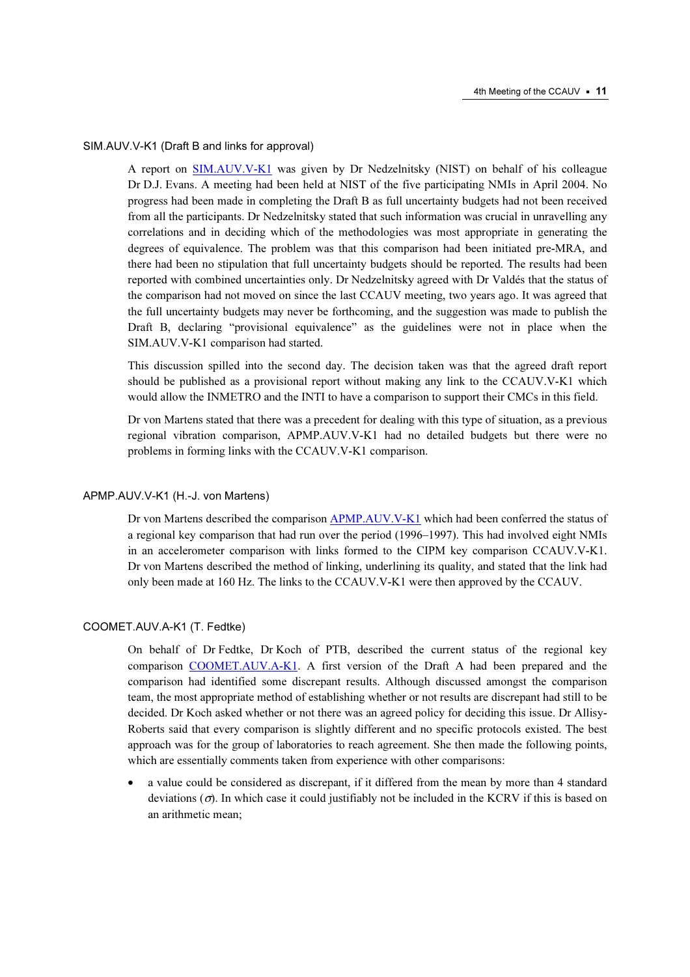#### SIM.AUV.V-K1 (Draft B and links for approval)

A report [on](http://kcdb.bipm.org/AppendixB/KCDB_ApB_search_result.asp?search=2&cmp_cod_search=SIM.AUV.v-K1&match_exact=0) [SIM.AUV.V-K1 was giv](http://kcdb.bipm.org/AppendixB/KCDB_ApB_search_result.asp?search=2&cmp_cod_search=SIM.AUV.VK1&match_exact=0)[e](http://kcdb.bipm.org/AppendixB/KCDB_ApB_search_result.asp?search=2&cmp_cod_search=SIM.AUV.v-K1&match_exact=0)n by Dr Nedzelnitsky (NIST) on behalf of his colleague Dr D.J. Evans. A meeting had been held at NIST of the five participating NMIs in April 2004. No progress had been made in completing the Draft B as full uncertainty budgets had not been received from all the participants. Dr Nedzelnitsky stated that such information was crucial in unravelling any correlations and in deciding which of the methodologies was most appropriate in generating the degrees of equivalence. The problem was that this comparison had been initiated pre-MRA, and there had been no stipulation that full uncertainty budgets should be reported. The results had been reported with combined uncertainties only. Dr Nedzelnitsky agreed with Dr Valdés that the status of the comparison had not moved on since the last CCAUV meeting, two years ago. It was agreed that the full uncertainty budgets may never be forthcoming, and the suggestion was made to publish the Draft B, declaring "provisional equivalence" as the guidelines were not in place when the SIM.AUV.V-K1 comparison had started.

This discussion spilled into the second day. The decision taken was that the agreed draft report should be published as a provisional report without making any link to the CCAUV.V-K1 which would allow the INMETRO and the INTI to have a comparison to support their CMCs in this field.

Dr von Martens stated that there was a precedent for dealing with this type of situation, as a previous regional vibration comparison, APMP.AUV.V-K1 had no detailed budgets but there were no problems in forming links with the CCAUV.V-K1 comparison.

#### APMP.AUV.V-K1 (H.-J. von Martens)

Dr von Martens described the comparison **APMP.AUV.V-K1** which had been conferred the status of a regional key comparison that had run over the period (1996–1997). This had involved eight NMIs in an accelerometer comparison with links formed to the CIPM key comparison CCAUV.V-K1. Dr von Martens described the method of linking, underlining its quality, and stated that the link had only been made at 160 Hz. The links to the CCAUV.V-K1 were then approved by the CCAUV.

#### COOMET.AUV.A-K1 (T. Fedtke)

On behalf of Dr Fedtke, Dr Koch of PTB, described the current status of the regional key compari[son COOMET.AUV.A-K1. A first](http://kcdb.bipm.org/AppendixB/KCDB_ApB_search_result.asp?search=2&cmp_cod_search=COOMET.AUV.A-K1&match_exact=0) version of the Draft A had been prepared and the comparison had identified some discrepant results. Although discussed amongst the comparison team, the most appropriate method of establishing whether or not results are discrepant had still to be decided. Dr Koch asked whether or not there was an agreed policy for deciding this issue. Dr Allisy-Roberts said that every comparison is slightly different and no specific protocols existed. The best approach was for the group of laboratories to reach agreement. She then made the following points, which are essentially comments taken from experience with other comparisons:

• a value could be considered as discrepant, if it differed from the mean by more than 4 standard deviations  $(\sigma)$ . In which case it could justifiably not be included in the KCRV if this is based on an arithmetic mean;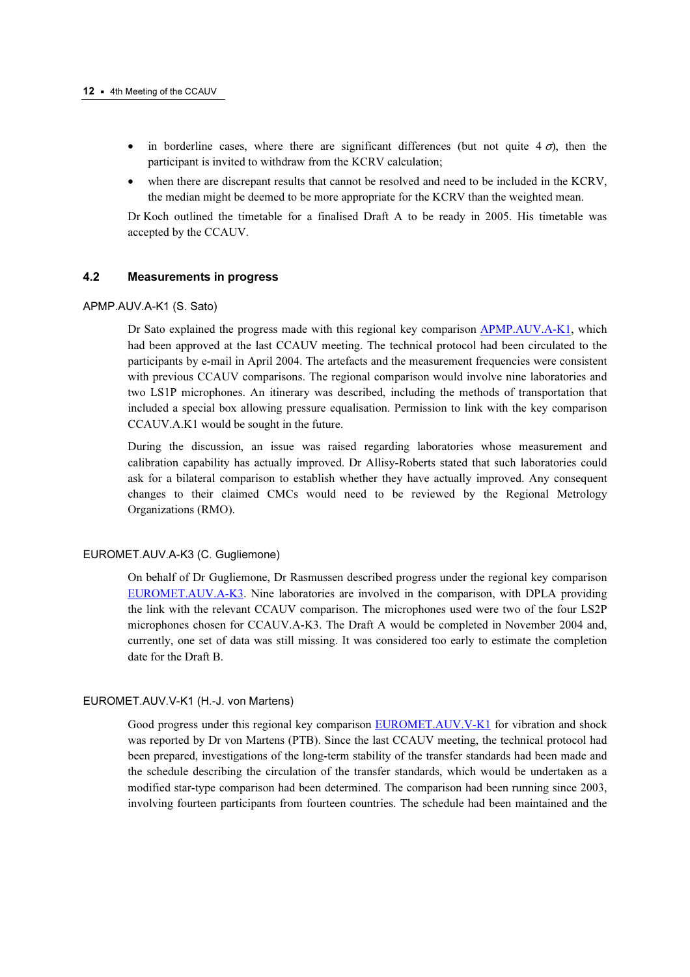- in borderline cases, where there are significant differences (but not quite  $4 \sigma$ ), then the participant is invited to withdraw from the KCRV calculation;
- when there are discrepant results that cannot be resolved and need to be included in the KCRV, the median might be deemed to be more appropriate for the KCRV than the weighted mean.

Dr Koch outlined the timetable for a finalised Draft A to be ready in 2005. His timetable was accepted by the CCAUV.

#### 4.2 Measurements in progress

#### APMP.AUV.A-K1 (S. Sato)

Dr Sato explained the progress made with this regional key comparis[on APMP.AUV.A-K1, which](http://kcdb.bipm.org/AppendixB/KCDB_ApB_search_result.asp?search=2&cmp_cod_search=APMP.AUV.A-K1&match_exact=0)  had been approved at the last CCAUV meeting. The technical protocol had been circulated to the participants by e-mail in April 2004. The artefacts and the measurement frequencies were consistent with previous CCAUV comparisons. The regional comparison would involve nine laboratories and two LS1P microphones. An itinerary was described, including the methods of transportation that included a special box allowing pressure equalisation. Permission to link with the key comparison CCAUV.A.K1 would be sought in the future.

During the discussion, an issue was raised regarding laboratories whose measurement and calibration capability has actually improved. Dr Allisy-Roberts stated that such laboratories could ask for a bilateral comparison to establish whether they have actually improved. Any consequent changes to their claimed CMCs would need to be reviewed by the Regional Metrology Organizations (RMO).

### EUROMET.AUV.A-K3 (C. Gugliemone)

On behalf of Dr Gugliemone, Dr Rasmussen described progress under the regional key comparison [EUROMET.AUV.A-K3. Nine](http://kcdb.bipm.org/AppendixB/KCDB_ApB_search_result.asp?search=2&cmp_cod_search=EUROMET.AUV.A-K3&match_exact=0) laboratories are involved in the comparison, with DPLA providing the link with the relevant CCAUV comparison. The microphones used were two of the four LS2P microphones chosen for CCAUV.A-K3. The Draft A would be completed in November 2004 and, currently, one set of data was still missing. It was considered too early to estimate the completion date for the Draft B.

#### EUROMET.AUV.V-K1 (H.-J. von Martens)

Good progress under this regional key compari[son EUROMET.AUV.V-K1 for vibrati](http://kcdb.bipm.org/AppendixB/KCDB_ApB_search_result.asp?search=2&cmp_cod_search=EUROMET.AUV.V-K1&match_exact=0)on and shock was reported by Dr von Martens (PTB). Since the last CCAUV meeting, the technical protocol had been prepared, investigations of the long-term stability of the transfer standards had been made and the schedule describing the circulation of the transfer standards, which would be undertaken as a modified star-type comparison had been determined. The comparison had been running since 2003, involving fourteen participants from fourteen countries. The schedule had been maintained and the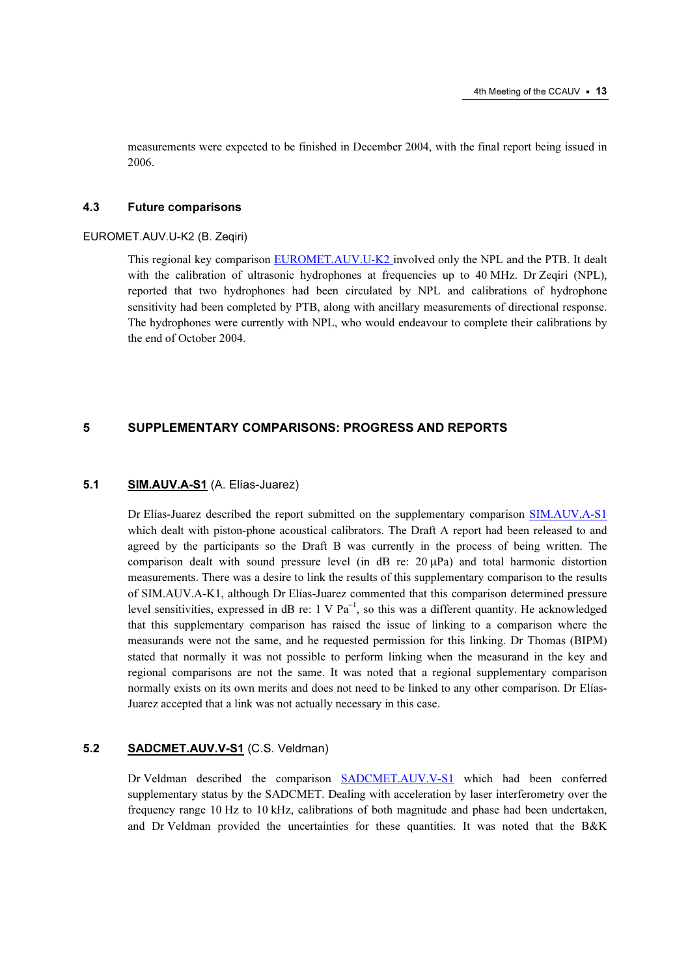measurements were expected to be finished in December 2004, with the final report being issued in 2006.

#### 4.3 Future comparisons

#### EUROMET.AUV.U-K2 (B. Zeqiri)

This regional key compari[son EUROMET.AUV.U-K2 involved only](http://kcdb.bipm.org/AppendixB/KCDB_ApB_search_result.asp?search=2&cmp_cod_search=EUROMET.AUV.U-K2&match_exact=0) the NPL and the PTB. It dealt with the calibration of ultrasonic hydrophones at frequencies up to 40 MHz. Dr Zeqiri (NPL), reported that two hydrophones had been circulated by NPL and calibrations of hydrophone sensitivity had been completed by PTB, along with ancillary measurements of directional response. The hydrophones were currently with NPL, who would endeavour to complete their calibrations by the end of October 2004.

# 5 SUPPLEMENTARY COMPARISONS: PROGRESS AND REPORTS

#### 5.1 **SIM.AUV.A-S1** (A. Elías-Juarez)

Dr Elías-Juarez described the report submitted on the supplementary comparison SIM.AUV.A-S1 which dealt with piston-phone acoustical calibrators. The Draft A report had be[en released to and](http://kcdb.bipm.org/AppendixB/KCDB_ApB_search_result.asp?search=2&cmp_cod_search=SIM.AUV.A-S1&match_exact=0)  agreed by the participants so the Draft B was currently in the process of being written. The comparison dealt with sound pressure level (in dB re:  $20 \mu Pa$ ) and total harmonic distortion measurements. There was a desire to link the results of this supplementary comparison to the results of SIM.AUV.A-K1, although Dr Elías-Juarez commented that this comparison determined pressure level sensitivities, expressed in dB re:  $1 \text{ V} \text{ Pa}^{-1}$ , so this was a different quantity. He acknowledged that this supplementary comparison has raised the issue of linking to a comparison where the measurands were not the same, and he requested permission for this linking. Dr Thomas (BIPM) stated that normally it was not possible to perform linking when the measurand in the key and regional comparisons are not the same. It was noted that a regional supplementary comparison normally exists on its own merits and does not need to be linked to any other comparison. Dr Elías-Juarez accepted that a link was not actually necessary in this case.

# 5.2 SADCMET.AUV.V-S1 (C.S. Veldman)

Dr Veldman described the compariso[n SADCMET.AUV.V-S1 whi](http://kcdb.bipm.org/AppendixB/KCDB_ApB_search_result.asp?search=2&cmp_cod_search=SADCMET.AUV.V-S1&match_exact=0)ch had been conferred supplementary status by the SADCMET. Dealing with acceleration by laser interferometry over the frequency range 10 Hz to 10 kHz, calibrations of both magnitude and phase had been undertaken, and Dr Veldman provided the uncertainties for these quantities. It was noted that the B&K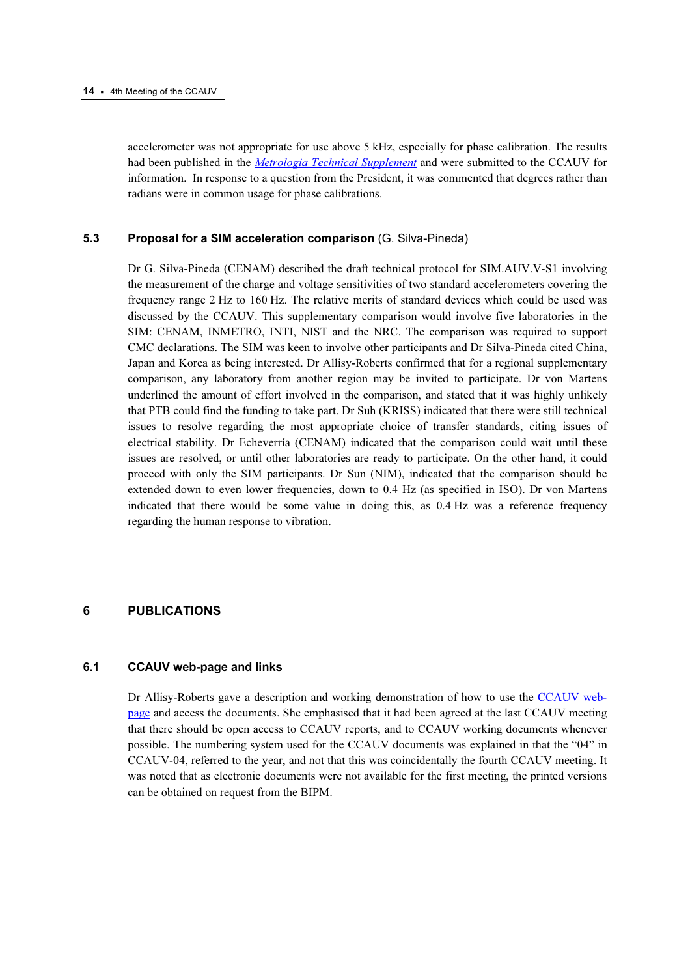accelerometer was not appropriate for use above 5 kHz, especially for phase calibration. The results had been published in the [Metrologia Technical Supplement](http://www.iop.org/EJ/abstract/0026-1394/41/1A/09001/) and were submitted to the CCAUV for information. In response to a question from the President, it was commented that degrees rather than radians were in common usage for phase calibrations.

#### 5.3 Proposal for a SIM acceleration comparison (G. Silva-Pineda)

Dr G. Silva-Pineda (CENAM) described the draft technical protocol for SIM.AUV.V-S1 involving the measurement of the charge and voltage sensitivities of two standard accelerometers covering the frequency range 2 Hz to 160 Hz. The relative merits of standard devices which could be used was discussed by the CCAUV. This supplementary comparison would involve five laboratories in the SIM: CENAM, INMETRO, INTI, NIST and the NRC. The comparison was required to support CMC declarations. The SIM was keen to involve other participants and Dr Silva-Pineda cited China, Japan and Korea as being interested. Dr Allisy-Roberts confirmed that for a regional supplementary comparison, any laboratory from another region may be invited to participate. Dr von Martens underlined the amount of effort involved in the comparison, and stated that it was highly unlikely that PTB could find the funding to take part. Dr Suh (KRISS) indicated that there were still technical issues to resolve regarding the most appropriate choice of transfer standards, citing issues of electrical stability. Dr Echeverría (CENAM) indicated that the comparison could wait until these issues are resolved, or until other laboratories are ready to participate. On the other hand, it could proceed with only the SIM participants. Dr Sun (NIM), indicated that the comparison should be extended down to even lower frequencies, down to 0.4 Hz (as specified in ISO). Dr von Martens indicated that there would be some value in doing this, as 0.4 Hz was a reference frequency regarding the human response to vibration.

# 6 PUBLICATIONS

#### 6.1 CCAUV web-page and links

Dr Allisy-Roberts gave a description and working demonstration of how to use t[he CCAUV web](https://www.bipm.org/en/committees/cc/ccauv/)[page and access th](https://www.bipm.org/en/committees/cc/ccauv/)e documents. She emphasised that it had been agreed at the last CCAUV meeting that there should be open access to CCAUV reports, and to CCAUV working documents whenever possible. The numbering system used for the CCAUV documents was explained in that the "04" in CCAUV-04, referred to the year, and not that this was coincidentally the fourth CCAUV meeting. It was noted that as electronic documents were not available for the first meeting, the printed versions can be obtained on request from the BIPM.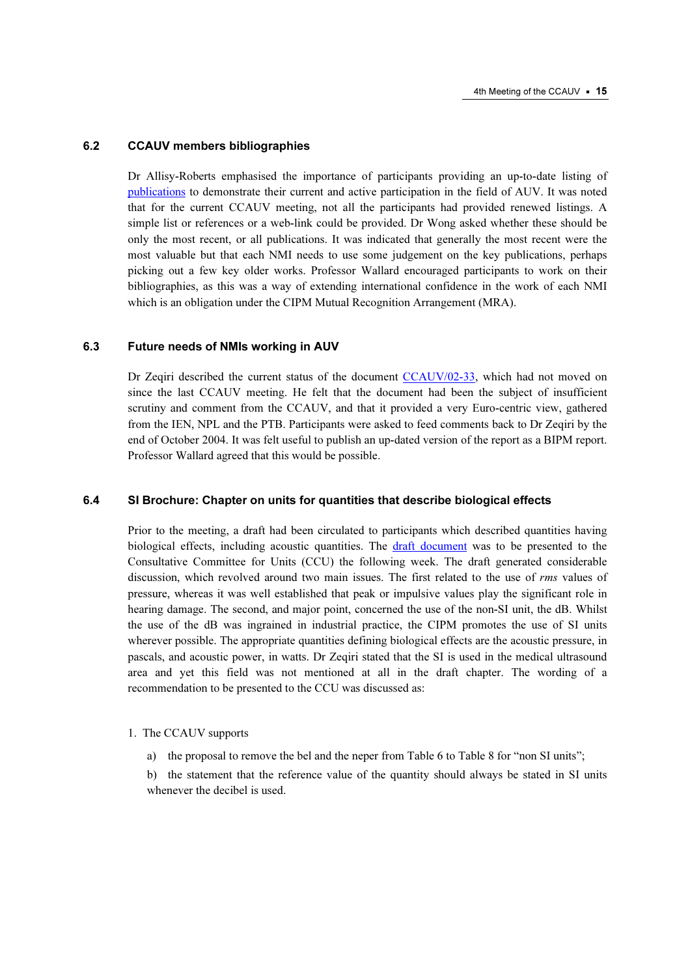#### 6.2 CCAUV members bibliographies

Dr Allisy-Roberts emphasised the importance of participants providing an up-to-date listing of [publications to demo](https://www.bipm.org/en/committees/cc/ccauv/publications_cc.html)nstrate their current and active participation in the field of AUV. It was noted that for the current CCAUV meeting, not all the participants had provided renewed listings. A simple list or references or a web-link could be provided. Dr Wong asked whether these should be only the most recent, or all publications. It was indicated that generally the most recent were the most valuable but that each NMI needs to use some judgement on the key publications, perhaps picking out a few key older works. Professor Wallard encouraged participants to work on their bibliographies, as this was a way of extending international confidence in the work of each NMI which is an obligation under the CIPM Mutual Recognition Arrangement (MRA).

#### 6.3 Future needs of NMIs working in AUV

Dr Zeqiri described the current status of the docum[ent CCAUV/02-33, which](https://www.bipm.org/cc/CCAUV/Allowed/3/CCAUV02-33.pdf) had not moved on since the last CCAUV meeting. He felt that the document had been the subject of insufficient scrutiny and comment from the CCAUV, and that it provided a very Euro-centric view, gathered from the IEN, NPL and the PTB. Participants were asked to feed comments back to Dr Zeqiri by the end of October 2004. It was felt useful to publish an up-dated version of the report as a BIPM report. Professor Wallard agreed that this would be possible.

### 6.4 SI Brochure: Chapter on units for quantities that describe biological effects

Prior to the meeting, a draft had been circulated to participants which described quantities having biological effects, including acoustic quantities. [The draft document was](https://www.bipm.org/en/committees/cc/ccu/) to be presented to the Consultative Committee for Units (CCU) the following week. The draft generated considerable discussion, which revolved around two main issues. The first related to the use of rms values of pressure, whereas it was well established that peak or impulsive values play the significant role in hearing damage. The second, and major point, concerned the use of the non-SI unit, the dB. Whilst the use of the dB was ingrained in industrial practice, the CIPM promotes the use of SI units wherever possible. The appropriate quantities defining biological effects are the acoustic pressure, in pascals, and acoustic power, in watts. Dr Zeqiri stated that the SI is used in the medical ultrasound area and yet this field was not mentioned at all in the draft chapter. The wording of a recommendation to be presented to the CCU was discussed as:

- 1. The CCAUV supports
	- a) the proposal to remove the bel and the neper from Table 6 to Table 8 for "non SI units";

 b) the statement that the reference value of the quantity should always be stated in SI units whenever the decibel is used.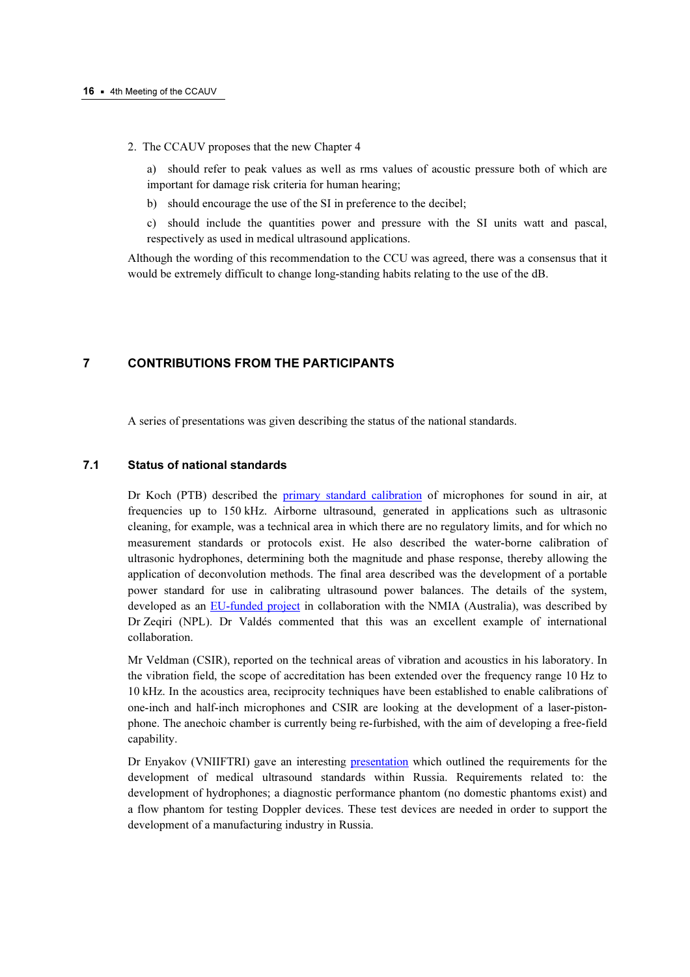2. The CCAUV proposes that the new Chapter 4

 a) should refer to peak values as well as rms values of acoustic pressure both of which are important for damage risk criteria for human hearing;

b) should encourage the use of the SI in preference to the decibel;

 c) should include the quantities power and pressure with the SI units watt and pascal, respectively as used in medical ultrasound applications.

Although the wording of this recommendation to the CCU was agreed, there was a consensus that it would be extremely difficult to change long-standing habits relating to the use of the dB.

# 7 CONTRIBUTIONS FROM THE PARTICIPANTS

A series of presentations was given describing the status of the national standards.

# 7.1 Status of national standards

Dr Koch (PTB) described th[e primary standard calibration of](https://www.bipm.org/cc/CCAUV/Allowed/4/CCAUV04-03.pdf) microphones for sound in air, at frequencies up to 150 kHz. Airborne ultrasound, generated in applications such as ultrasonic cleaning, for example, was a technical area in which there are no regulatory limits, and for which no measurement standards or protocols exist. He also described the water-borne calibration of ultrasonic hydrophones, determining both the magnitude and phase response, thereby allowing the application of deconvolution methods. The final area described was the development of a portable power standard for use in calibrating ultrasound power balances. The details of the system, developed as a[n EU-funded project in collab](https://www.bipm.org/cc/CCAUV/Allowed/4/CCAUV04-30.pdf)oration with the NMIA (Australia), was described by Dr Zeqiri (NPL). Dr Valdés commented that this was an excellent example of international collaboration.

Mr Veldman (CSIR), reported on the technical areas of vibration and acoustics in his laboratory. In the vibration field, the scope of accreditation has been extended over the frequency range 10 Hz to 10 kHz. In the acoustics area, reciprocity techniques have been established to enable calibrations of one-inch and half-inch microphones and CSIR are looking at the development of a laser-pistonphone. The anechoic chamber is currently being re-furbished, with the aim of developing a free-field capability.

Dr Enyakov (VNIIFTRI) gave an interest[ing presentation which ou](https://www.bipm.org/cc/CCAUV/Allowed/4/CCAUV04-15.pdf)tlined the requirements for the development of medical ultrasound standards within Russia. Requirements related to: the development of hydrophones; a diagnostic performance phantom (no domestic phantoms exist) and a flow phantom for testing Doppler devices. These test devices are needed in order to support the development of a manufacturing industry in Russia.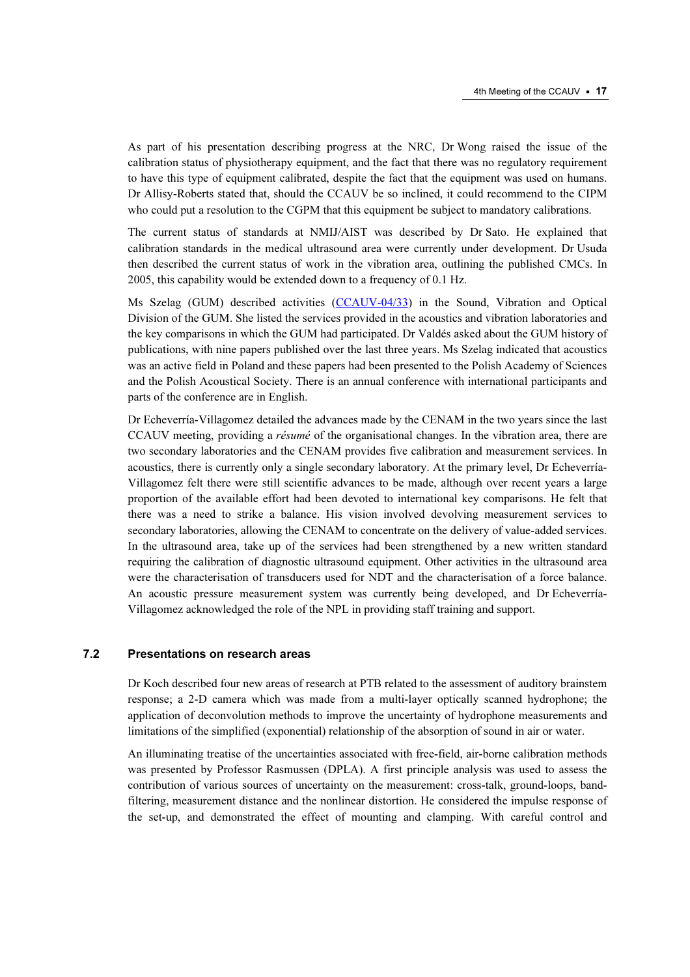As part of his presentation describing progress at the NRC, Dr Wong raised the issue of the calibration status of physiotherapy equipment, and the fact that there was no regulatory requirement to have this type of equipment calibrated, despite the fact that the equipment was used on humans. Dr Allisy-Roberts stated that, should the CCAUV be so inclined, it could recommend to the CIPM who could put a resolution to the CGPM that this equipment be subject to mandatory calibrations.

The current status of standards at NMIJ/AIST was described by Dr Sato. He explained that calibration standards in the medical ultrasound area were currently under development. Dr Usuda then described the current status of work in the vibration area, outlining the published CMCs. In 2005, this capability would be extended down to a frequency of 0.1 Hz.

Ms Szelag (GUM) described activit[ies \(CCAUV-04/33\) in the So](https://www.bipm.org/cc/CCAUV/Allowed/4/CCAUV04-33.pdf)und, Vibration and Optical Division of the GUM. She listed the services provided in the acoustics and vibration laboratories and the key comparisons in which the GUM had participated. Dr Valdés asked about the GUM history of publications, with nine papers published over the last three years. Ms Szelag indicated that acoustics was an active field in Poland and these papers had been presented to the Polish Academy of Sciences and the Polish Acoustical Society. There is an annual conference with international participants and parts of the conference are in English.

Dr Echeverría-Villagomez detailed the advances made by the CENAM in the two years since the last CCAUV meeting, providing a résumé of the organisational changes. In the vibration area, there are two secondary laboratories and the CENAM provides five calibration and measurement services. In acoustics, there is currently only a single secondary laboratory. At the primary level, Dr Echeverría-Villagomez felt there were still scientific advances to be made, although over recent years a large proportion of the available effort had been devoted to international key comparisons. He felt that there was a need to strike a balance. His vision involved devolving measurement services to secondary laboratories, allowing the CENAM to concentrate on the delivery of value-added services. In the ultrasound area, take up of the services had been strengthened by a new written standard requiring the calibration of diagnostic ultrasound equipment. Other activities in the ultrasound area were the characterisation of transducers used for NDT and the characterisation of a force balance. An acoustic pressure measurement system was currently being developed, and Dr Echeverría-Villagomez acknowledged the role of the NPL in providing staff training and support.

#### 7.2 Presentations on research areas

Dr Koch described four new areas of research at PTB related to the assessment of auditory brainstem response; a 2-D camera which was made from a multi-layer optically scanned hydrophone; the application of deconvolution methods to improve the uncertainty of hydrophone measurements and limitations of the simplified (exponential) relationship of the absorption of sound in air or water.

An illuminating treatise of the uncertainties associated with free-field, air-borne calibration methods was presented by Professor Rasmussen (DPLA). A first principle analysis was used to assess the contribution of various sources of uncertainty on the measurement: cross-talk, ground-loops, bandfiltering, measurement distance and the nonlinear distortion. He considered the impulse response of the set-up, and demonstrated the effect of mounting and clamping. With careful control and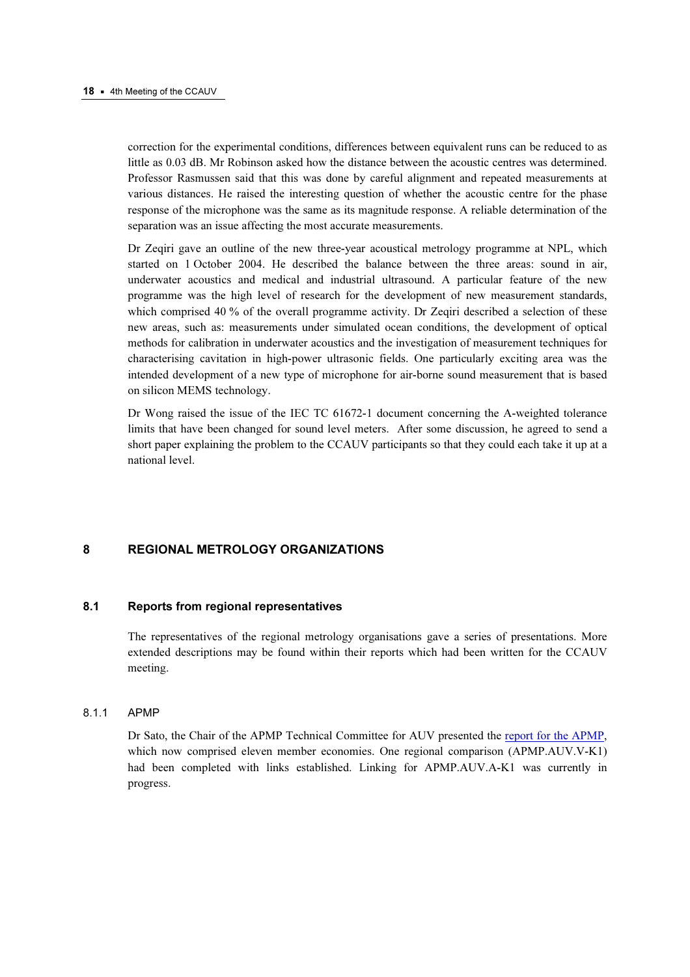correction for the experimental conditions, differences between equivalent runs can be reduced to as little as 0.03 dB. Mr Robinson asked how the distance between the acoustic centres was determined. Professor Rasmussen said that this was done by careful alignment and repeated measurements at various distances. He raised the interesting question of whether the acoustic centre for the phase response of the microphone was the same as its magnitude response. A reliable determination of the separation was an issue affecting the most accurate measurements.

Dr Zeqiri gave an outline of the new three-year acoustical metrology programme at NPL, which started on 1 October 2004. He described the balance between the three areas: sound in air, underwater acoustics and medical and industrial ultrasound. A particular feature of the new programme was the high level of research for the development of new measurement standards, which comprised 40 % of the overall programme activity. Dr Zeqiri described a selection of these new areas, such as: measurements under simulated ocean conditions, the development of optical methods for calibration in underwater acoustics and the investigation of measurement techniques for characterising cavitation in high-power ultrasonic fields. One particularly exciting area was the intended development of a new type of microphone for air-borne sound measurement that is based on silicon MEMS technology.

Dr Wong raised the issue of the IEC TC 61672-1 document concerning the A-weighted tolerance limits that have been changed for sound level meters. After some discussion, he agreed to send a short paper explaining the problem to the CCAUV participants so that they could each take it up at a national level.

### 8 REGIONAL METROLOGY ORGANIZATIONS

#### $8.1$ Reports from regional representatives

The representatives of the regional metrology organisations gave a series of presentations. More extended descriptions may be found within their reports which had been written for the CCAUV meeting.

#### 8.1.1 APMP

Dr Sato, the Chair of the APMP Technical Committee for AUV presented the report for the APMP, which now comprised eleven member economies. One regional comparis[on \(APMP.AUV.V-K1\)](https://www.bipm.org/cc/CCAUV/Allowed/4/CCAUV04-26.pdf)  had been completed with links established. Linking for APMP.AUV.A-K1 was currently in progress.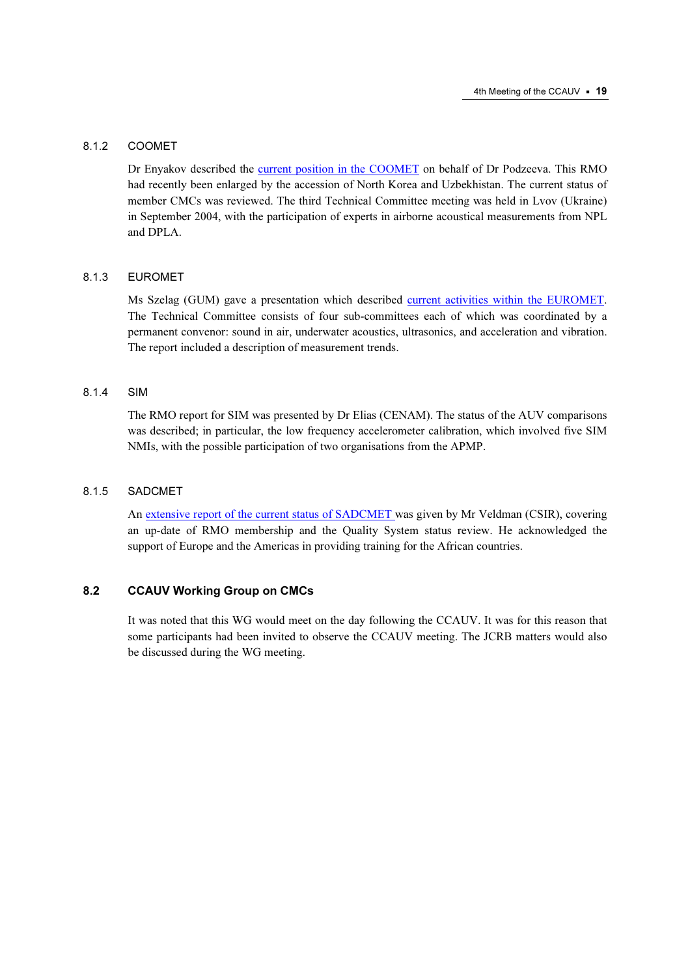#### 8.1.2 COOMET

Dr Enyakov described t[he current position in the COOMET on](https://www.bipm.org/cc/CCAUV/Allowed/4/CCAUV04-29.pdf) behalf of Dr Podzeeva. This RMO had recently been enlarged by the accession of North Korea and Uzbekhistan. The current status of member CMCs was reviewed. The third Technical Committee meeting was held in Lvov (Ukraine) in September 2004, with the participation of experts in airborne acoustical measurements from NPL and DPLA.

#### 8.1.3 EUROMET

Ms Szelag (GUM) gave a presentation which described current activities within the EUROMET. The Technical Committee consists of four sub-comm[ittees each of which was coordinated by a](https://www.bipm.org/cc/CCAUV/Allowed/4/CCAUV04-30.pdf)  permanent convenor: sound in air, underwater acoustics, ultrasonics, and acceleration and vibration. The report included a description of measurement trends.

### 8.1.4 SIM

The RMO report for SIM was presented by Dr Elias (CENAM). The status of the AUV comparisons was described; in particular, the low frequency accelerometer calibration, which involved five SIM NMIs, with the possible participation of two organisations from the APMP.

#### 8.1.5 SADCMET

[An extensive report of the current status of SADCMET was g](https://www.bipm.org/cc/CCAUV/Allowed/4/CCAUV04-09.pdf)iven by Mr Veldman (CSIR), covering an up-date of RMO membership and the Quality System status review. He acknowledged the support of Europe and the Americas in providing training for the African countries.

# 8.2 CCAUV Working Group on CMCs

It was noted that this WG would meet on the day following the CCAUV. It was for this reason that some participants had been invited to observe the CCAUV meeting. The JCRB matters would also be discussed during the WG meeting.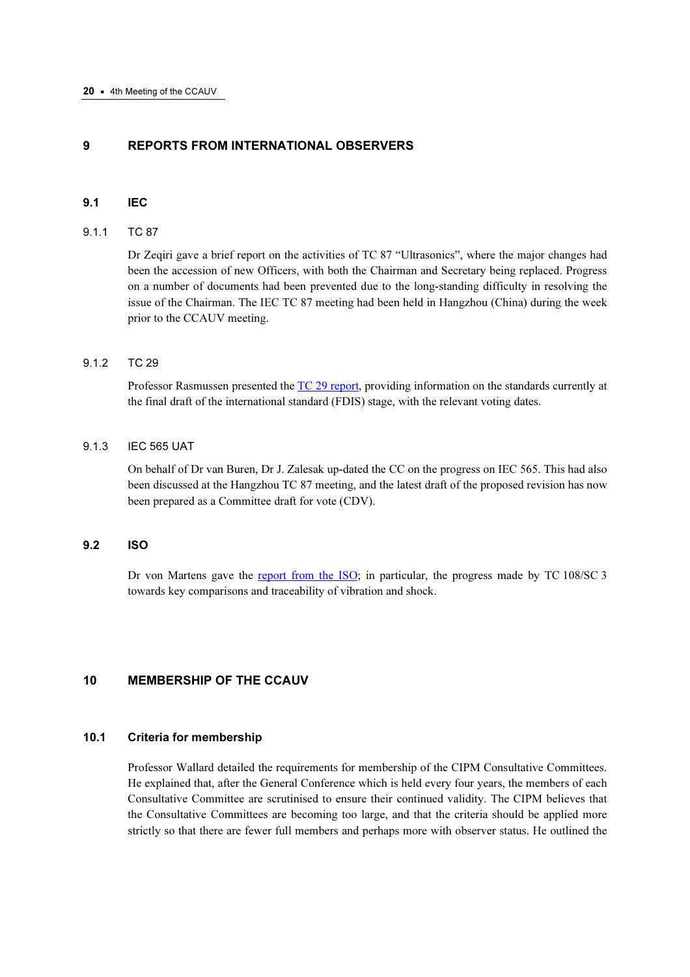# 9 REPORTS FROM INTERNATIONAL OBSERVERS

### 9.1 IEC

#### 9.1.1 TC 87

Dr Zeqiri gave a brief report on the activities of TC 87 "Ultrasonics", where the major changes had been the accession of new Officers, with both the Chairman and Secretary being replaced. Progress on a number of documents had been prevented due to the long-standing difficulty in resolving the issue of the Chairman. The IEC TC 87 meeting had been held in Hangzhou (China) during the week prior to the CCAUV meeting.

### 9.1.2 TC 29

Professor Rasmussen presente[d the TC 29 report, provi](https://www.bipm.org/cc/CCAUV/Allowed/4/CCAUV04-13.pdf)ding information on the standards currently at the final draft of the international standard (FDIS) stage, with the relevant voting dates.

#### 9.1.3 IEC 565 UAT

On behalf of Dr van Buren, Dr J. Zalesak up-dated the CC on the progress on IEC 565. This had also been discussed at the Hangzhou TC 87 meeting, and the latest draft of the proposed revision has now been prepared as a Committee draft for vote (CDV).

### 9.2 ISO

Dr von Martens gave t[he report from the ISO; in p](https://www.bipm.org/cc/CCAUV/Allowed/4/CCAUV04-06.pdf)articular, the progress made by TC 108/SC 3 towards key comparisons and traceability of vibration and shock.

# 10 MEMBERSHIP OF THE CCAUV

# 10.1 Criteria for membership

Professor Wallard detailed the requirements for membership of the CIPM Consultative Committees. He explained that, after the General Conference which is held every four years, the members of each Consultative Committee are scrutinised to ensure their continued validity. The CIPM believes that the Consultative Committees are becoming too large, and that the criteria should be applied more strictly so that there are fewer full members and perhaps more with observer status. He outlined the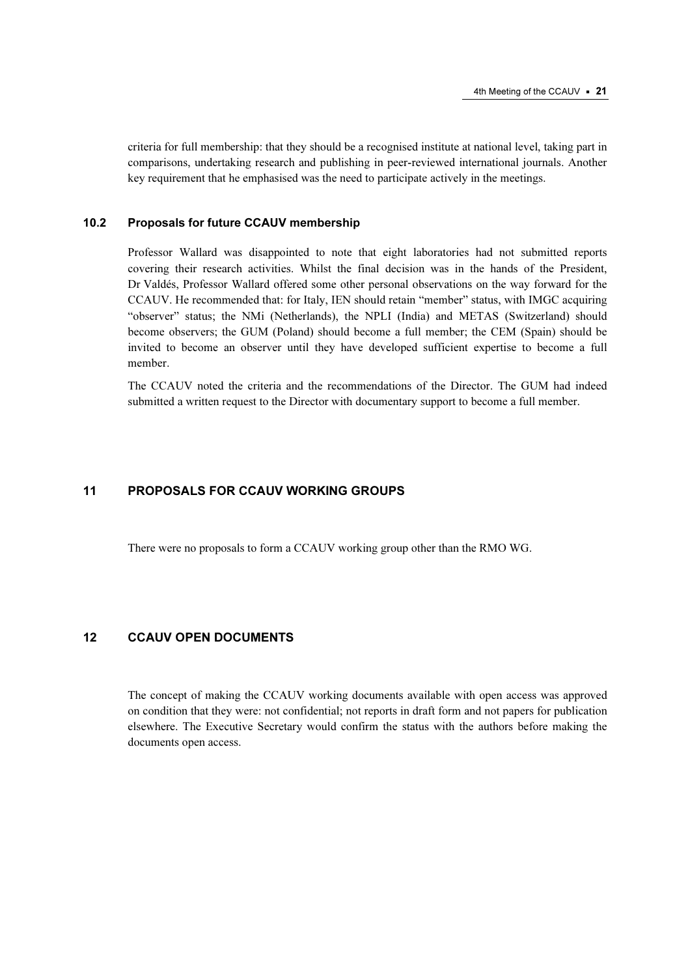criteria for full membership: that they should be a recognised institute at national level, taking part in comparisons, undertaking research and publishing in peer-reviewed international journals. Another key requirement that he emphasised was the need to participate actively in the meetings.

# 10.2 Proposals for future CCAUV membership

Professor Wallard was disappointed to note that eight laboratories had not submitted reports covering their research activities. Whilst the final decision was in the hands of the President, Dr Valdés, Professor Wallard offered some other personal observations on the way forward for the CCAUV. He recommended that: for Italy, IEN should retain "member" status, with IMGC acquiring "observer" status; the NMi (Netherlands), the NPLI (India) and METAS (Switzerland) should become observers; the GUM (Poland) should become a full member; the CEM (Spain) should be invited to become an observer until they have developed sufficient expertise to become a full member.

The CCAUV noted the criteria and the recommendations of the Director. The GUM had indeed submitted a written request to the Director with documentary support to become a full member.

# 11 PROPOSALS FOR CCAUV WORKING GROUPS

There were no proposals to form a CCAUV working group other than the RMO WG.

# 12 CCAUV OPEN DOCUMENTS

The concept of making the CCAUV working documents available with open access was approved on condition that they were: not confidential; not reports in draft form and not papers for publication elsewhere. The Executive Secretary would confirm the status with the authors before making the documents open access.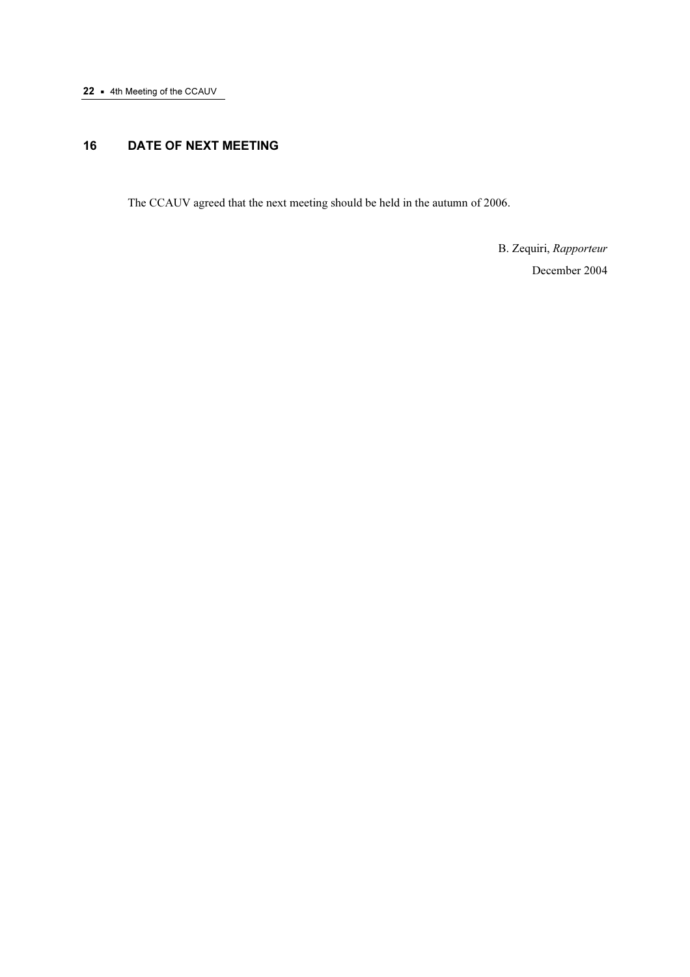# 16 DATE OF NEXT MEETING

The CCAUV agreed that the next meeting should be held in the autumn of 2006.

 B. Zequiri, Rapporteur December 2004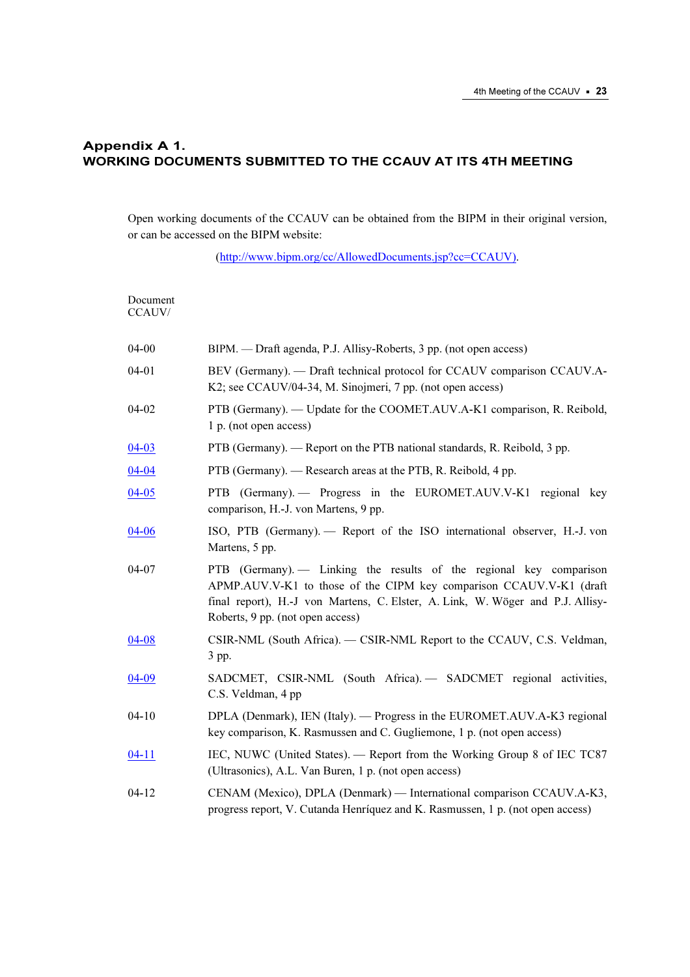# Appendix A 1. WORKING DOCUMENTS SUBMITTED TO THE CCAUV AT ITS 4TH MEETING

Open working documents of the CCAUV can be obtained from the BIPM in their original version, or can be accessed on the BIPM website:

[\(http://www.bipm.org/cc/AllowedDocuments.jsp?cc=CCAUV\).](https://www.bipm.org/cc/AllowedDocuments.jsp?cc=CCAUV) 

| Document<br>CCAUV/ |                                                                                                                                                                                                                                                                  |
|--------------------|------------------------------------------------------------------------------------------------------------------------------------------------------------------------------------------------------------------------------------------------------------------|
| $04 - 00$          | BIPM. — Draft agenda, P.J. Allisy-Roberts, 3 pp. (not open access)                                                                                                                                                                                               |
| $04 - 01$          | BEV (Germany). — Draft technical protocol for CCAUV comparison CCAUV.A-<br>K2; see CCAUV/04-34, M. Sinojmeri, 7 pp. (not open access)                                                                                                                            |
| 04-02              | PTB (Germany). — Update for the COOMET.AUV.A-K1 comparison, R. Reibold,<br>1 p. (not open access)                                                                                                                                                                |
| $04 - 03$          | PTB (Germany). — Report on the PTB national standards, R. Reibold, 3 pp.                                                                                                                                                                                         |
| $04 - 04$          | PTB (Germany). — Research areas at the PTB, R. Reibold, 4 pp.                                                                                                                                                                                                    |
| $04 - 05$          | PTB (Germany). - Progress in the EUROMET.AUV.V-K1 regional key<br>comparison, H.-J. von Martens, 9 pp.                                                                                                                                                           |
| $04 - 06$          | ISO, PTB (Germany). - Report of the ISO international observer, H.-J. von<br>Martens, 5 pp.                                                                                                                                                                      |
| 04-07              | PTB (Germany). - Linking the results of the regional key comparison<br>APMP.AUV.V-K1 to those of the CIPM key comparison CCAUV.V-K1 (draft<br>final report), H.-J von Martens, C. Elster, A. Link, W. Wöger and P.J. Allisy-<br>Roberts, 9 pp. (not open access) |
| $04 - 08$          | CSIR-NML (South Africa). - CSIR-NML Report to the CCAUV, C.S. Veldman,<br>3 pp.                                                                                                                                                                                  |
| $04 - 09$          | SADCMET, CSIR-NML (South Africa). - SADCMET regional activities,<br>C.S. Veldman, 4 pp                                                                                                                                                                           |
| $04 - 10$          | DPLA (Denmark), IEN (Italy). — Progress in the EUROMET.AUV.A-K3 regional<br>key comparison, K. Rasmussen and C. Gugliemone, 1 p. (not open access)                                                                                                               |
| $04-11$            | IEC, NUWC (United States). — Report from the Working Group 8 of IEC TC87<br>(Ultrasonics), A.L. Van Buren, 1 p. (not open access)                                                                                                                                |
| $04 - 12$          | CENAM (Mexico), DPLA (Denmark) — International comparison CCAUV.A-K3,<br>progress report, V. Cutanda Henríquez and K. Rasmussen, 1 p. (not open access)                                                                                                          |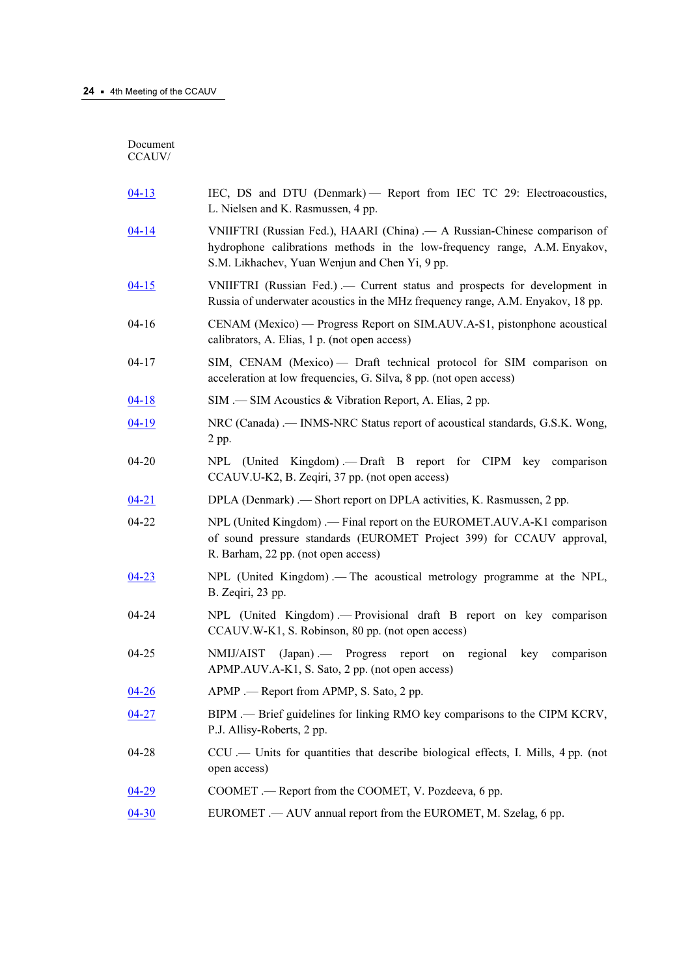Document CCAUV/

| $04 - 13$ | IEC, DS and DTU (Denmark) - Report from IEC TC 29: Electroacoustics,<br>L. Nielsen and K. Rasmussen, 4 pp.                                                                                               |
|-----------|----------------------------------------------------------------------------------------------------------------------------------------------------------------------------------------------------------|
| $04 - 14$ | VNIIFTRI (Russian Fed.), HAARI (China) .— A Russian-Chinese comparison of<br>hydrophone calibrations methods in the low-frequency range, A.M. Enyakov,<br>S.M. Likhachev, Yuan Wenjun and Chen Yi, 9 pp. |
| $04 - 15$ | VNIIFTRI (Russian Fed.) .— Current status and prospects for development in<br>Russia of underwater acoustics in the MHz frequency range, A.M. Enyakov, 18 pp.                                            |
| $04 - 16$ | CENAM (Mexico) — Progress Report on SIM.AUV.A-S1, pistonphone acoustical<br>calibrators, A. Elias, 1 p. (not open access)                                                                                |
| $04 - 17$ | SIM, CENAM (Mexico) — Draft technical protocol for SIM comparison on<br>acceleration at low frequencies, G. Silva, 8 pp. (not open access)                                                               |
| $04 - 18$ | SIM .— SIM Acoustics & Vibration Report, A. Elias, 2 pp.                                                                                                                                                 |
| $04-19$   | NRC (Canada) .— INMS-NRC Status report of acoustical standards, G.S.K. Wong,<br>2 pp.                                                                                                                    |
| 04-20     | NPL (United Kingdom).— Draft B report for CIPM key comparison<br>CCAUV.U-K2, B. Zeqiri, 37 pp. (not open access)                                                                                         |
| $04 - 21$ | DPLA (Denmark) .— Short report on DPLA activities, K. Rasmussen, 2 pp.                                                                                                                                   |
| 04-22     | NPL (United Kingdom) .— Final report on the EUROMET.AUV.A-K1 comparison<br>of sound pressure standards (EUROMET Project 399) for CCAUV approval,<br>R. Barham, 22 pp. (not open access)                  |
| $04 - 23$ | NPL (United Kingdom). - The acoustical metrology programme at the NPL,<br>B. Zeqiri, 23 pp.                                                                                                              |
| 04-24     | NPL (United Kingdom). - Provisional draft B report on key comparison<br>CCAUV.W-K1, S. Robinson, 80 pp. (not open access)                                                                                |
| $04 - 25$ | NMIJ/AIST (Japan) .— Progress report<br>regional key<br>on<br>comparison<br>APMP.AUV.A-K1, S. Sato, 2 pp. (not open access)                                                                              |
| $04 - 26$ | APMP .— Report from APMP, S. Sato, 2 pp.                                                                                                                                                                 |
| $04 - 27$ | BIPM .— Brief guidelines for linking RMO key comparisons to the CIPM KCRV,<br>P.J. Allisy-Roberts, 2 pp.                                                                                                 |
| 04-28     | CCU .- Units for quantities that describe biological effects, I. Mills, 4 pp. (not<br>open access)                                                                                                       |
| $04 - 29$ | COOMET. - Report from the COOMET, V. Pozdeeva, 6 pp.                                                                                                                                                     |
| $04 - 30$ | EUROMET .— AUV annual report from the EUROMET, M. Szelag, 6 pp.                                                                                                                                          |
|           |                                                                                                                                                                                                          |